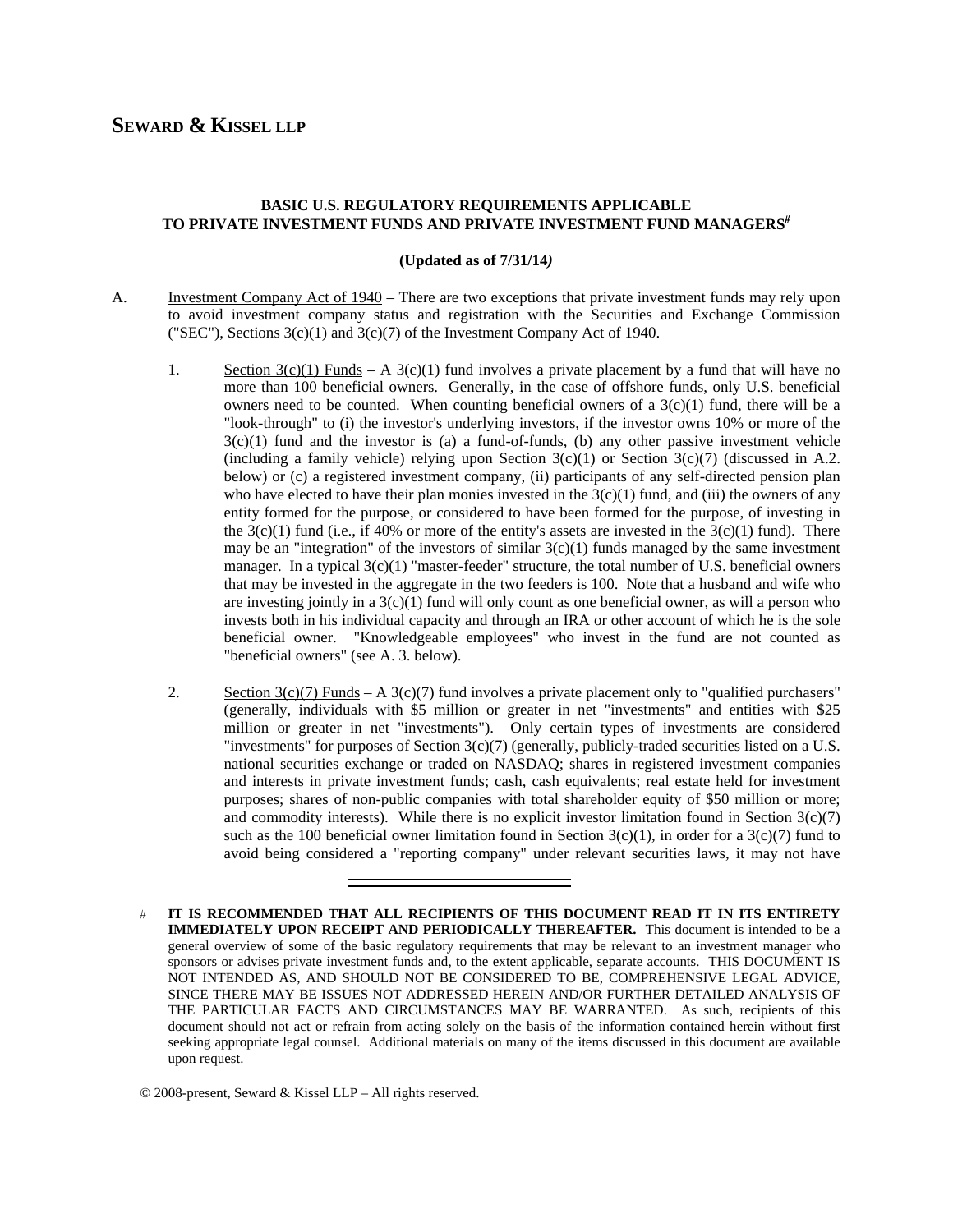# **SEWARD & KISSEL LLP**

# **BASIC U.S. REGULATORY REQUIREMENTS APPLICABLE TO PRIVATE INVESTMENT FUNDS AND PRIVATE INVESTMENT FUND MANAGERS**

### **(Updated as of 7/31/14***)*

- A. Investment Company Act of 1940 There are two exceptions that private investment funds may rely upon to avoid investment company status and registration with the Securities and Exchange Commission ("SEC"), Sections  $3(c)(1)$  and  $3(c)(7)$  of the Investment Company Act of 1940.
	- 1. Section  $3(c)(1)$  Funds A  $3(c)(1)$  fund involves a private placement by a fund that will have no more than 100 beneficial owners. Generally, in the case of offshore funds, only U.S. beneficial owners need to be counted. When counting beneficial owners of a  $3(c)(1)$  fund, there will be a "look-through" to (i) the investor's underlying investors, if the investor owns 10% or more of the  $3(c)(1)$  fund and the investor is (a) a fund-of-funds, (b) any other passive investment vehicle (including a family vehicle) relying upon Section  $3(c)(1)$  or Section  $3(c)(7)$  (discussed in A.2. below) or (c) a registered investment company, (ii) participants of any self-directed pension plan who have elected to have their plan monies invested in the  $3(c)(1)$  fund, and (iii) the owners of any entity formed for the purpose, or considered to have been formed for the purpose, of investing in the  $3(c)(1)$  fund (i.e., if 40% or more of the entity's assets are invested in the  $3(c)(1)$  fund). There may be an "integration" of the investors of similar  $3(c)(1)$  funds managed by the same investment manager. In a typical  $3(c)(1)$  "master-feeder" structure, the total number of U.S. beneficial owners that may be invested in the aggregate in the two feeders is 100. Note that a husband and wife who are investing jointly in a  $3(c)(1)$  fund will only count as one beneficial owner, as will a person who invests both in his individual capacity and through an IRA or other account of which he is the sole beneficial owner. "Knowledgeable employees" who invest in the fund are not counted as "beneficial owners" (see A. 3. below).
	- 2. Section  $3(c)(7)$  Funds A  $3(c)(7)$  fund involves a private placement only to "qualified purchasers" (generally, individuals with \$5 million or greater in net "investments" and entities with \$25 million or greater in net "investments"). Only certain types of investments are considered "investments" for purposes of Section 3(c)(7) (generally, publicly-traded securities listed on a U.S. national securities exchange or traded on NASDAQ; shares in registered investment companies and interests in private investment funds; cash, cash equivalents; real estate held for investment purposes; shares of non-public companies with total shareholder equity of \$50 million or more; and commodity interests). While there is no explicit investor limitation found in Section  $3(c)(7)$ such as the 100 beneficial owner limitation found in Section  $3(c)(1)$ , in order for a  $3(c)(7)$  fund to avoid being considered a "reporting company" under relevant securities laws, it may not have

**IT IS RECOMMENDED THAT ALL RECIPIENTS OF THIS DOCUMENT READ IT IN ITS ENTIRETY IMMEDIATELY UPON RECEIPT AND PERIODICALLY THEREAFTER.** This document is intended to be a general overview of some of the basic regulatory requirements that may be relevant to an investment manager who sponsors or advises private investment funds and, to the extent applicable, separate accounts. THIS DOCUMENT IS NOT INTENDED AS, AND SHOULD NOT BE CONSIDERED TO BE, COMPREHENSIVE LEGAL ADVICE, SINCE THERE MAY BE ISSUES NOT ADDRESSED HEREIN AND/OR FURTHER DETAILED ANALYSIS OF THE PARTICULAR FACTS AND CIRCUMSTANCES MAY BE WARRANTED. As such, recipients of this document should not act or refrain from acting solely on the basis of the information contained herein without first seeking appropriate legal counsel. Additional materials on many of the items discussed in this document are available upon request.

<sup>© 2008-</sup>present, Seward & Kissel LLP – All rights reserved.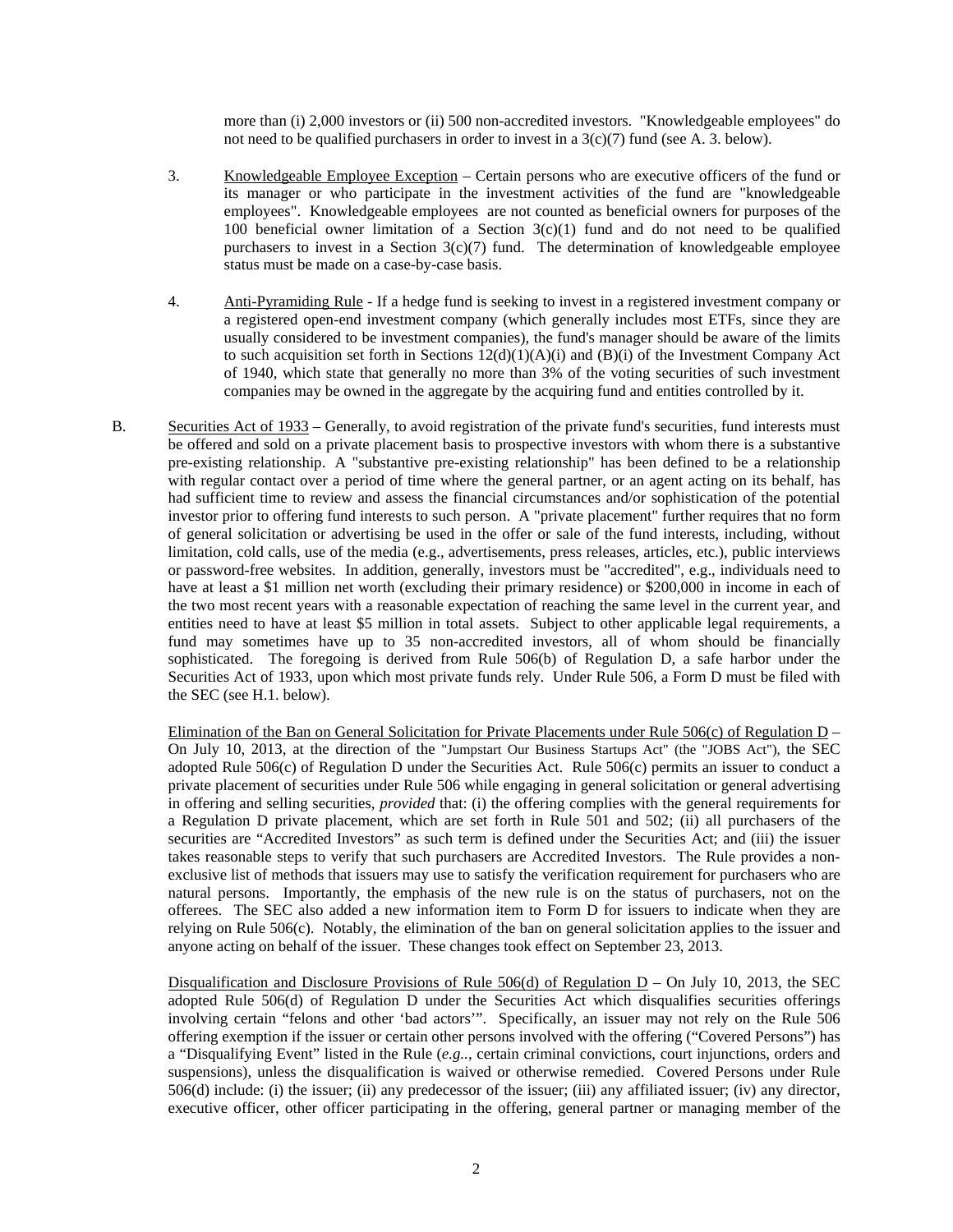more than (i) 2,000 investors or (ii) 500 non-accredited investors. "Knowledgeable employees" do not need to be qualified purchasers in order to invest in a  $3(c)(7)$  fund (see A. 3. below).

- 3. Knowledgeable Employee Exception Certain persons who are executive officers of the fund or its manager or who participate in the investment activities of the fund are "knowledgeable employees". Knowledgeable employees are not counted as beneficial owners for purposes of the 100 beneficial owner limitation of a Section  $3(c)(1)$  fund and do not need to be qualified purchasers to invest in a Section 3(c)(7) fund. The determination of knowledgeable employee status must be made on a case-by-case basis.
- 4. Anti-Pyramiding Rule If a hedge fund is seeking to invest in a registered investment company or a registered open-end investment company (which generally includes most ETFs, since they are usually considered to be investment companies), the fund's manager should be aware of the limits to such acquisition set forth in Sections  $12(d)(1)(A)(i)$  and  $(B)(i)$  of the Investment Company Act of 1940, which state that generally no more than 3% of the voting securities of such investment companies may be owned in the aggregate by the acquiring fund and entities controlled by it.
- B. Securities Act of 1933 Generally, to avoid registration of the private fund's securities, fund interests must be offered and sold on a private placement basis to prospective investors with whom there is a substantive pre-existing relationship. A "substantive pre-existing relationship" has been defined to be a relationship with regular contact over a period of time where the general partner, or an agent acting on its behalf, has had sufficient time to review and assess the financial circumstances and/or sophistication of the potential investor prior to offering fund interests to such person. A "private placement" further requires that no form of general solicitation or advertising be used in the offer or sale of the fund interests, including, without limitation, cold calls, use of the media (e.g., advertisements, press releases, articles, etc.), public interviews or password-free websites. In addition, generally, investors must be "accredited", e.g., individuals need to have at least a \$1 million net worth (excluding their primary residence) or \$200,000 in income in each of the two most recent years with a reasonable expectation of reaching the same level in the current year, and entities need to have at least \$5 million in total assets. Subject to other applicable legal requirements, a fund may sometimes have up to 35 non-accredited investors, all of whom should be financially sophisticated. The foregoing is derived from Rule 506(b) of Regulation D, a safe harbor under the Securities Act of 1933, upon which most private funds rely. Under Rule 506, a Form D must be filed with the SEC (see H.1. below).

Elimination of the Ban on General Solicitation for Private Placements under Rule 506(c) of Regulation D – On July 10, 2013, at the direction of the "Jumpstart Our Business Startups Act" (the "JOBS Act"), the SEC adopted Rule 506(c) of Regulation D under the Securities Act. Rule 506(c) permits an issuer to conduct a private placement of securities under Rule 506 while engaging in general solicitation or general advertising in offering and selling securities, *provided* that: (i) the offering complies with the general requirements for a Regulation D private placement, which are set forth in Rule 501 and 502; (ii) all purchasers of the securities are "Accredited Investors" as such term is defined under the Securities Act; and (iii) the issuer takes reasonable steps to verify that such purchasers are Accredited Investors. The Rule provides a nonexclusive list of methods that issuers may use to satisfy the verification requirement for purchasers who are natural persons. Importantly, the emphasis of the new rule is on the status of purchasers, not on the offerees. The SEC also added a new information item to Form D for issuers to indicate when they are relying on Rule 506(c). Notably, the elimination of the ban on general solicitation applies to the issuer and anyone acting on behalf of the issuer. These changes took effect on September 23, 2013.

Disqualification and Disclosure Provisions of Rule  $506(d)$  of Regulation D – On July 10, 2013, the SEC adopted Rule 506(d) of Regulation D under the Securities Act which disqualifies securities offerings involving certain "felons and other 'bad actors'". Specifically, an issuer may not rely on the Rule 506 offering exemption if the issuer or certain other persons involved with the offering ("Covered Persons") has a "Disqualifying Event" listed in the Rule (*e.g..*, certain criminal convictions, court injunctions, orders and suspensions), unless the disqualification is waived or otherwise remedied. Covered Persons under Rule 506(d) include: (i) the issuer; (ii) any predecessor of the issuer; (iii) any affiliated issuer; (iv) any director, executive officer, other officer participating in the offering, general partner or managing member of the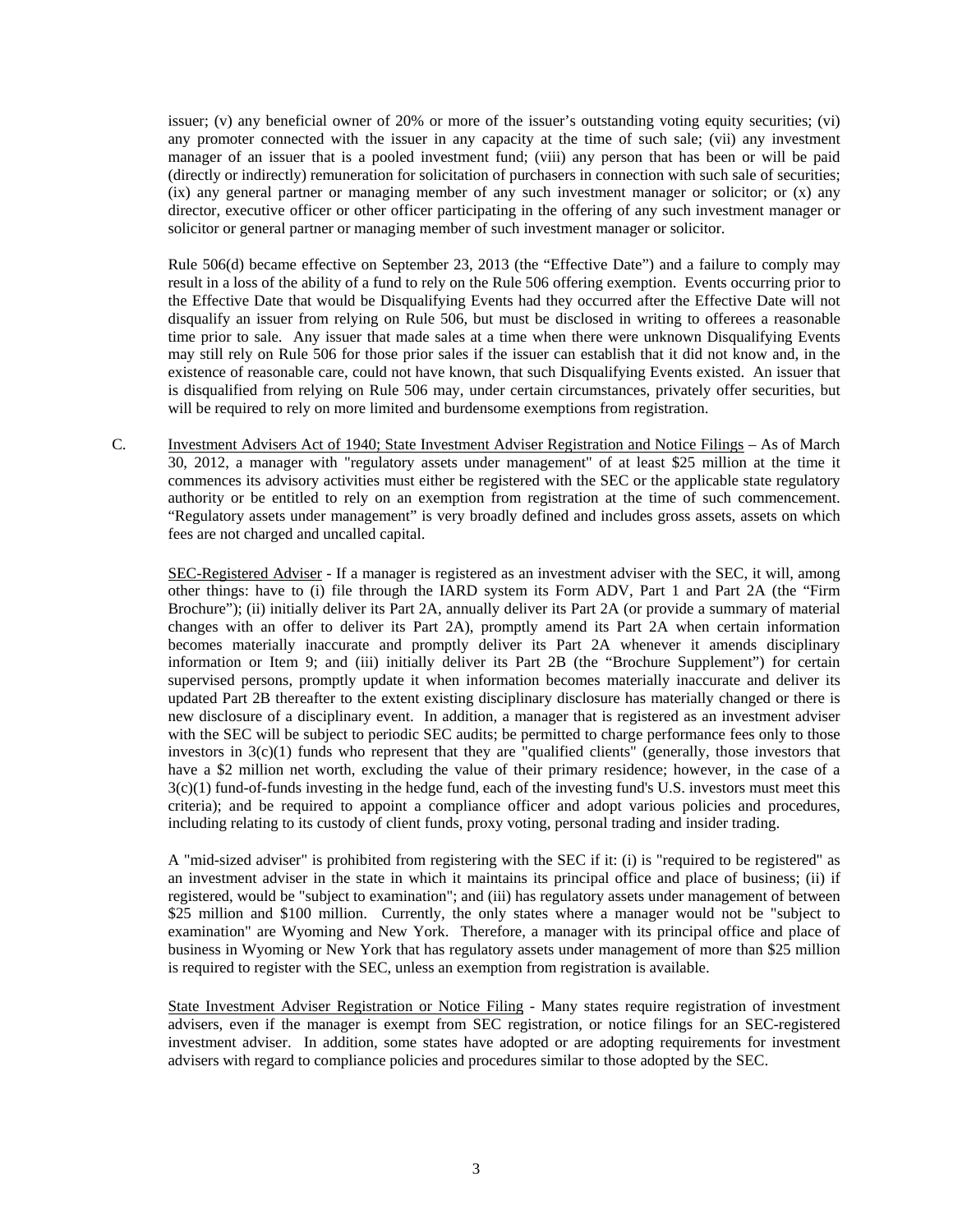issuer; (v) any beneficial owner of 20% or more of the issuer's outstanding voting equity securities; (vi) any promoter connected with the issuer in any capacity at the time of such sale; (vii) any investment manager of an issuer that is a pooled investment fund; (viii) any person that has been or will be paid (directly or indirectly) remuneration for solicitation of purchasers in connection with such sale of securities; (ix) any general partner or managing member of any such investment manager or solicitor; or (x) any director, executive officer or other officer participating in the offering of any such investment manager or solicitor or general partner or managing member of such investment manager or solicitor.

Rule 506(d) became effective on September 23, 2013 (the "Effective Date") and a failure to comply may result in a loss of the ability of a fund to rely on the Rule 506 offering exemption. Events occurring prior to the Effective Date that would be Disqualifying Events had they occurred after the Effective Date will not disqualify an issuer from relying on Rule 506, but must be disclosed in writing to offerees a reasonable time prior to sale. Any issuer that made sales at a time when there were unknown Disqualifying Events may still rely on Rule 506 for those prior sales if the issuer can establish that it did not know and, in the existence of reasonable care, could not have known, that such Disqualifying Events existed. An issuer that is disqualified from relying on Rule 506 may, under certain circumstances, privately offer securities, but will be required to rely on more limited and burdensome exemptions from registration.

C. Investment Advisers Act of 1940; State Investment Adviser Registration and Notice Filings – As of March 30, 2012, a manager with "regulatory assets under management" of at least \$25 million at the time it commences its advisory activities must either be registered with the SEC or the applicable state regulatory authority or be entitled to rely on an exemption from registration at the time of such commencement. "Regulatory assets under management" is very broadly defined and includes gross assets, assets on which fees are not charged and uncalled capital.

SEC-Registered Adviser - If a manager is registered as an investment adviser with the SEC, it will, among other things: have to (i) file through the IARD system its Form ADV, Part 1 and Part 2A (the "Firm Brochure"); (ii) initially deliver its Part 2A, annually deliver its Part 2A (or provide a summary of material changes with an offer to deliver its Part 2A), promptly amend its Part 2A when certain information becomes materially inaccurate and promptly deliver its Part 2A whenever it amends disciplinary information or Item 9; and (iii) initially deliver its Part 2B (the "Brochure Supplement") for certain supervised persons, promptly update it when information becomes materially inaccurate and deliver its updated Part 2B thereafter to the extent existing disciplinary disclosure has materially changed or there is new disclosure of a disciplinary event. In addition, a manager that is registered as an investment adviser with the SEC will be subject to periodic SEC audits; be permitted to charge performance fees only to those investors in  $3(c)(1)$  funds who represent that they are "qualified clients" (generally, those investors that have a \$2 million net worth, excluding the value of their primary residence; however, in the case of a 3(c)(1) fund-of-funds investing in the hedge fund, each of the investing fund's U.S. investors must meet this criteria); and be required to appoint a compliance officer and adopt various policies and procedures, including relating to its custody of client funds, proxy voting, personal trading and insider trading.

A "mid-sized adviser" is prohibited from registering with the SEC if it: (i) is "required to be registered" as an investment adviser in the state in which it maintains its principal office and place of business; (ii) if registered, would be "subject to examination"; and (iii) has regulatory assets under management of between \$25 million and \$100 million. Currently, the only states where a manager would not be "subject to examination" are Wyoming and New York. Therefore, a manager with its principal office and place of business in Wyoming or New York that has regulatory assets under management of more than \$25 million is required to register with the SEC, unless an exemption from registration is available.

State Investment Adviser Registration or Notice Filing - Many states require registration of investment advisers, even if the manager is exempt from SEC registration, or notice filings for an SEC-registered investment adviser. In addition, some states have adopted or are adopting requirements for investment advisers with regard to compliance policies and procedures similar to those adopted by the SEC.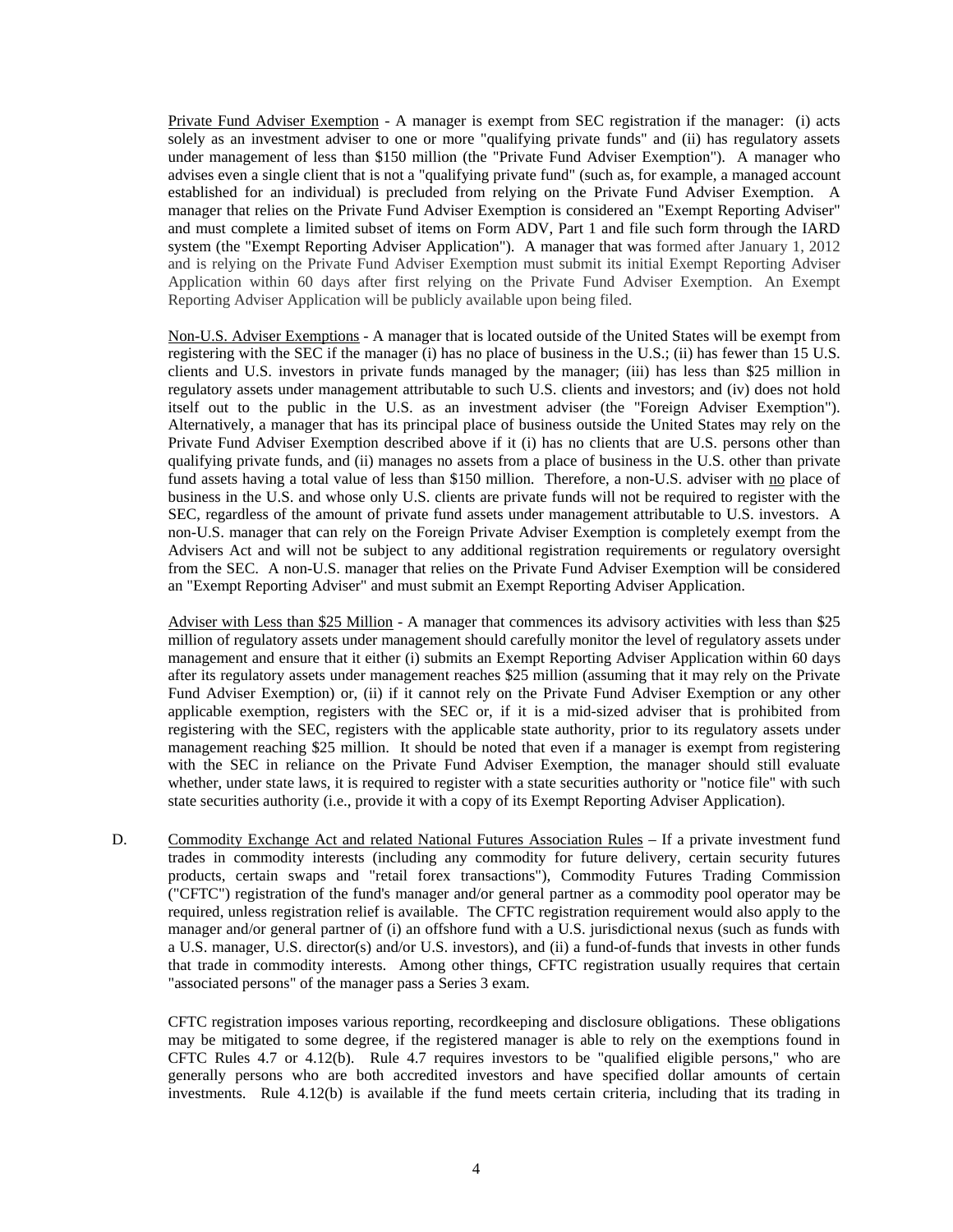Private Fund Adviser Exemption - A manager is exempt from SEC registration if the manager: (i) acts solely as an investment adviser to one or more "qualifying private funds" and (ii) has regulatory assets under management of less than \$150 million (the "Private Fund Adviser Exemption"). A manager who advises even a single client that is not a "qualifying private fund" (such as, for example, a managed account established for an individual) is precluded from relying on the Private Fund Adviser Exemption. A manager that relies on the Private Fund Adviser Exemption is considered an "Exempt Reporting Adviser" and must complete a limited subset of items on Form ADV, Part 1 and file such form through the IARD system (the "Exempt Reporting Adviser Application"). A manager that was formed after January 1, 2012 and is relying on the Private Fund Adviser Exemption must submit its initial Exempt Reporting Adviser Application within 60 days after first relying on the Private Fund Adviser Exemption. An Exempt Reporting Adviser Application will be publicly available upon being filed.

Non-U.S. Adviser Exemptions - A manager that is located outside of the United States will be exempt from registering with the SEC if the manager (i) has no place of business in the U.S.; (ii) has fewer than 15 U.S. clients and U.S. investors in private funds managed by the manager; (iii) has less than \$25 million in regulatory assets under management attributable to such U.S. clients and investors; and (iv) does not hold itself out to the public in the U.S. as an investment adviser (the "Foreign Adviser Exemption"). Alternatively, a manager that has its principal place of business outside the United States may rely on the Private Fund Adviser Exemption described above if it (i) has no clients that are U.S. persons other than qualifying private funds, and (ii) manages no assets from a place of business in the U.S. other than private fund assets having a total value of less than \$150 million. Therefore, a non-U.S. adviser with no place of business in the U.S. and whose only U.S. clients are private funds will not be required to register with the SEC, regardless of the amount of private fund assets under management attributable to U.S. investors. A non-U.S. manager that can rely on the Foreign Private Adviser Exemption is completely exempt from the Advisers Act and will not be subject to any additional registration requirements or regulatory oversight from the SEC. A non-U.S. manager that relies on the Private Fund Adviser Exemption will be considered an "Exempt Reporting Adviser" and must submit an Exempt Reporting Adviser Application.

Adviser with Less than \$25 Million - A manager that commences its advisory activities with less than \$25 million of regulatory assets under management should carefully monitor the level of regulatory assets under management and ensure that it either (i) submits an Exempt Reporting Adviser Application within 60 days after its regulatory assets under management reaches \$25 million (assuming that it may rely on the Private Fund Adviser Exemption) or, (ii) if it cannot rely on the Private Fund Adviser Exemption or any other applicable exemption, registers with the SEC or, if it is a mid-sized adviser that is prohibited from registering with the SEC, registers with the applicable state authority, prior to its regulatory assets under management reaching \$25 million. It should be noted that even if a manager is exempt from registering with the SEC in reliance on the Private Fund Adviser Exemption, the manager should still evaluate whether, under state laws, it is required to register with a state securities authority or "notice file" with such state securities authority (i.e., provide it with a copy of its Exempt Reporting Adviser Application).

D. Commodity Exchange Act and related National Futures Association Rules – If a private investment fund trades in commodity interests (including any commodity for future delivery, certain security futures products, certain swaps and "retail forex transactions"), Commodity Futures Trading Commission ("CFTC") registration of the fund's manager and/or general partner as a commodity pool operator may be required, unless registration relief is available. The CFTC registration requirement would also apply to the manager and/or general partner of (i) an offshore fund with a U.S. jurisdictional nexus (such as funds with a U.S. manager, U.S. director(s) and/or U.S. investors), and (ii) a fund-of-funds that invests in other funds that trade in commodity interests. Among other things, CFTC registration usually requires that certain "associated persons" of the manager pass a Series 3 exam.

CFTC registration imposes various reporting, recordkeeping and disclosure obligations. These obligations may be mitigated to some degree, if the registered manager is able to rely on the exemptions found in CFTC Rules 4.7 or 4.12(b). Rule 4.7 requires investors to be "qualified eligible persons," who are generally persons who are both accredited investors and have specified dollar amounts of certain investments. Rule 4.12(b) is available if the fund meets certain criteria, including that its trading in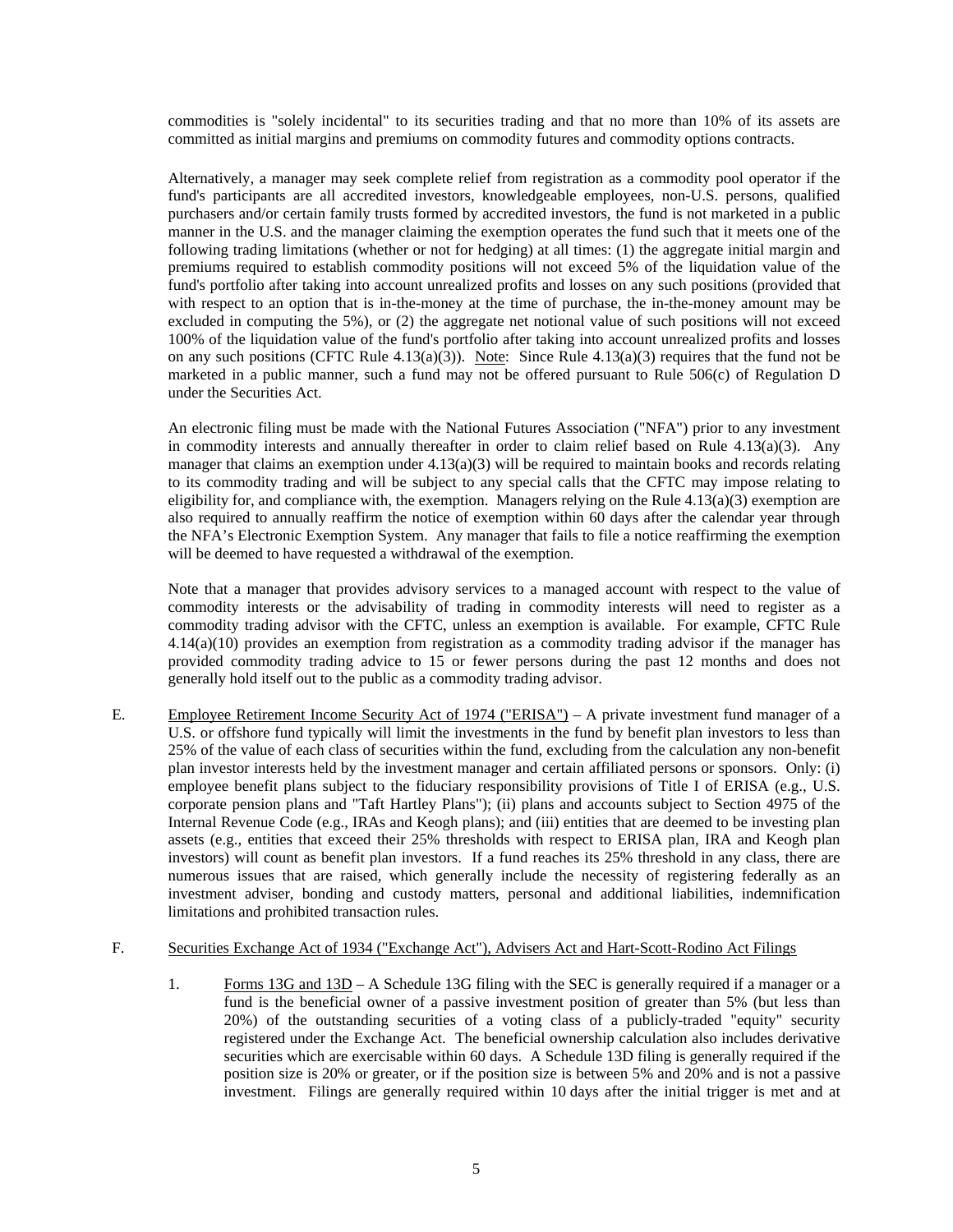commodities is "solely incidental" to its securities trading and that no more than 10% of its assets are committed as initial margins and premiums on commodity futures and commodity options contracts.

 Alternatively, a manager may seek complete relief from registration as a commodity pool operator if the fund's participants are all accredited investors, knowledgeable employees, non-U.S. persons, qualified purchasers and/or certain family trusts formed by accredited investors, the fund is not marketed in a public manner in the U.S. and the manager claiming the exemption operates the fund such that it meets one of the following trading limitations (whether or not for hedging) at all times: (1) the aggregate initial margin and premiums required to establish commodity positions will not exceed 5% of the liquidation value of the fund's portfolio after taking into account unrealized profits and losses on any such positions (provided that with respect to an option that is in-the-money at the time of purchase, the in-the-money amount may be excluded in computing the 5%), or (2) the aggregate net notional value of such positions will not exceed 100% of the liquidation value of the fund's portfolio after taking into account unrealized profits and losses on any such positions (CFTC Rule 4.13(a)(3)). Note: Since Rule 4.13(a)(3) requires that the fund not be marketed in a public manner, such a fund may not be offered pursuant to Rule 506(c) of Regulation D under the Securities Act.

An electronic filing must be made with the National Futures Association ("NFA") prior to any investment in commodity interests and annually thereafter in order to claim relief based on Rule  $4.13(a)(3)$ . Any manager that claims an exemption under  $4.13(a)(3)$  will be required to maintain books and records relating to its commodity trading and will be subject to any special calls that the CFTC may impose relating to eligibility for, and compliance with, the exemption. Managers relying on the Rule  $4.13(a)(3)$  exemption are also required to annually reaffirm the notice of exemption within 60 days after the calendar year through the NFA's Electronic Exemption System. Any manager that fails to file a notice reaffirming the exemption will be deemed to have requested a withdrawal of the exemption.

Note that a manager that provides advisory services to a managed account with respect to the value of commodity interests or the advisability of trading in commodity interests will need to register as a commodity trading advisor with the CFTC, unless an exemption is available. For example, CFTC Rule 4.14(a)(10) provides an exemption from registration as a commodity trading advisor if the manager has provided commodity trading advice to 15 or fewer persons during the past 12 months and does not generally hold itself out to the public as a commodity trading advisor.

E. Employee Retirement Income Security Act of 1974 ("ERISA") – A private investment fund manager of a U.S. or offshore fund typically will limit the investments in the fund by benefit plan investors to less than 25% of the value of each class of securities within the fund, excluding from the calculation any non-benefit plan investor interests held by the investment manager and certain affiliated persons or sponsors. Only: (i) employee benefit plans subject to the fiduciary responsibility provisions of Title I of ERISA (e.g., U.S. corporate pension plans and "Taft Hartley Plans"); (ii) plans and accounts subject to Section 4975 of the Internal Revenue Code (e.g., IRAs and Keogh plans); and (iii) entities that are deemed to be investing plan assets (e.g., entities that exceed their 25% thresholds with respect to ERISA plan, IRA and Keogh plan investors) will count as benefit plan investors. If a fund reaches its 25% threshold in any class, there are numerous issues that are raised, which generally include the necessity of registering federally as an investment adviser, bonding and custody matters, personal and additional liabilities, indemnification limitations and prohibited transaction rules.

#### F. Securities Exchange Act of 1934 ("Exchange Act"), Advisers Act and Hart-Scott-Rodino Act Filings

1. Forms 13G and 13D – A Schedule 13G filing with the SEC is generally required if a manager or a fund is the beneficial owner of a passive investment position of greater than 5% (but less than 20%) of the outstanding securities of a voting class of a publicly-traded "equity" security registered under the Exchange Act. The beneficial ownership calculation also includes derivative securities which are exercisable within 60 days. A Schedule 13D filing is generally required if the position size is 20% or greater, or if the position size is between 5% and 20% and is not a passive investment. Filings are generally required within 10 days after the initial trigger is met and at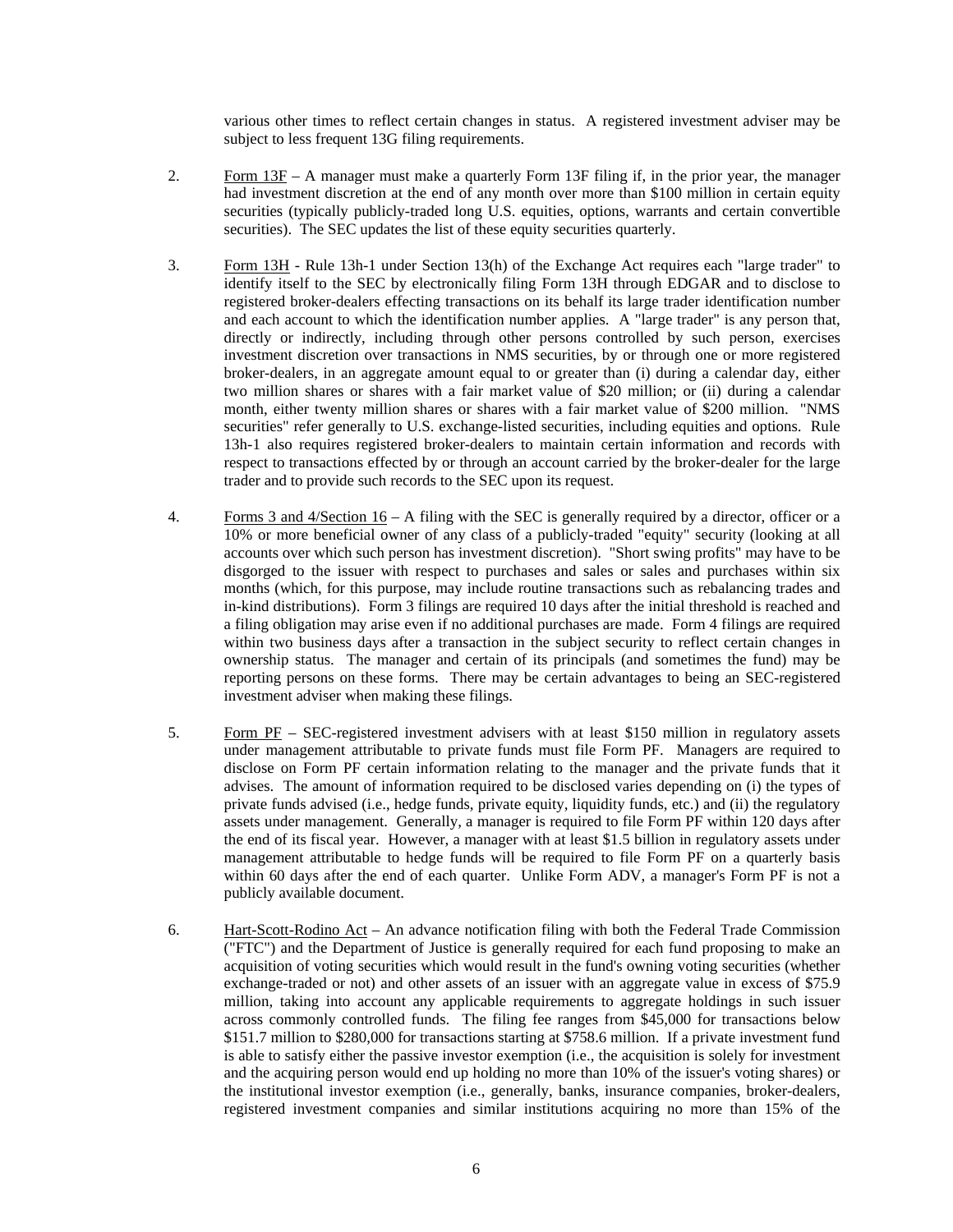various other times to reflect certain changes in status. A registered investment adviser may be subject to less frequent 13G filing requirements.

- 2. Form 13F A manager must make a quarterly Form 13F filing if, in the prior year, the manager had investment discretion at the end of any month over more than \$100 million in certain equity securities (typically publicly-traded long U.S. equities, options, warrants and certain convertible securities). The SEC updates the list of these equity securities quarterly.
- 3. Form 13H Rule 13h-1 under Section 13(h) of the Exchange Act requires each "large trader" to identify itself to the SEC by electronically filing Form 13H through EDGAR and to disclose to registered broker-dealers effecting transactions on its behalf its large trader identification number and each account to which the identification number applies. A "large trader" is any person that, directly or indirectly, including through other persons controlled by such person, exercises investment discretion over transactions in NMS securities, by or through one or more registered broker-dealers, in an aggregate amount equal to or greater than (i) during a calendar day, either two million shares or shares with a fair market value of \$20 million; or (ii) during a calendar month, either twenty million shares or shares with a fair market value of \$200 million. "NMS securities" refer generally to U.S. exchange-listed securities, including equities and options. Rule 13h-1 also requires registered broker-dealers to maintain certain information and records with respect to transactions effected by or through an account carried by the broker-dealer for the large trader and to provide such records to the SEC upon its request.
- 4. Forms 3 and 4/Section 16 A filing with the SEC is generally required by a director, officer or a 10% or more beneficial owner of any class of a publicly-traded "equity" security (looking at all accounts over which such person has investment discretion). "Short swing profits" may have to be disgorged to the issuer with respect to purchases and sales or sales and purchases within six months (which, for this purpose, may include routine transactions such as rebalancing trades and in-kind distributions). Form 3 filings are required 10 days after the initial threshold is reached and a filing obligation may arise even if no additional purchases are made. Form 4 filings are required within two business days after a transaction in the subject security to reflect certain changes in ownership status. The manager and certain of its principals (and sometimes the fund) may be reporting persons on these forms. There may be certain advantages to being an SEC-registered investment adviser when making these filings.
- 5. Form PF SEC-registered investment advisers with at least \$150 million in regulatory assets under management attributable to private funds must file Form PF. Managers are required to disclose on Form PF certain information relating to the manager and the private funds that it advises. The amount of information required to be disclosed varies depending on (i) the types of private funds advised (i.e., hedge funds, private equity, liquidity funds, etc.) and (ii) the regulatory assets under management. Generally, a manager is required to file Form PF within 120 days after the end of its fiscal year. However, a manager with at least \$1.5 billion in regulatory assets under management attributable to hedge funds will be required to file Form PF on a quarterly basis within 60 days after the end of each quarter. Unlike Form ADV, a manager's Form PF is not a publicly available document.
- 6. Hart-Scott-Rodino Act An advance notification filing with both the Federal Trade Commission ("FTC") and the Department of Justice is generally required for each fund proposing to make an acquisition of voting securities which would result in the fund's owning voting securities (whether exchange-traded or not) and other assets of an issuer with an aggregate value in excess of \$75.9 million, taking into account any applicable requirements to aggregate holdings in such issuer across commonly controlled funds. The filing fee ranges from \$45,000 for transactions below \$151.7 million to \$280,000 for transactions starting at \$758.6 million. If a private investment fund is able to satisfy either the passive investor exemption (i.e., the acquisition is solely for investment and the acquiring person would end up holding no more than 10% of the issuer's voting shares) or the institutional investor exemption (i.e., generally, banks, insurance companies, broker-dealers, registered investment companies and similar institutions acquiring no more than 15% of the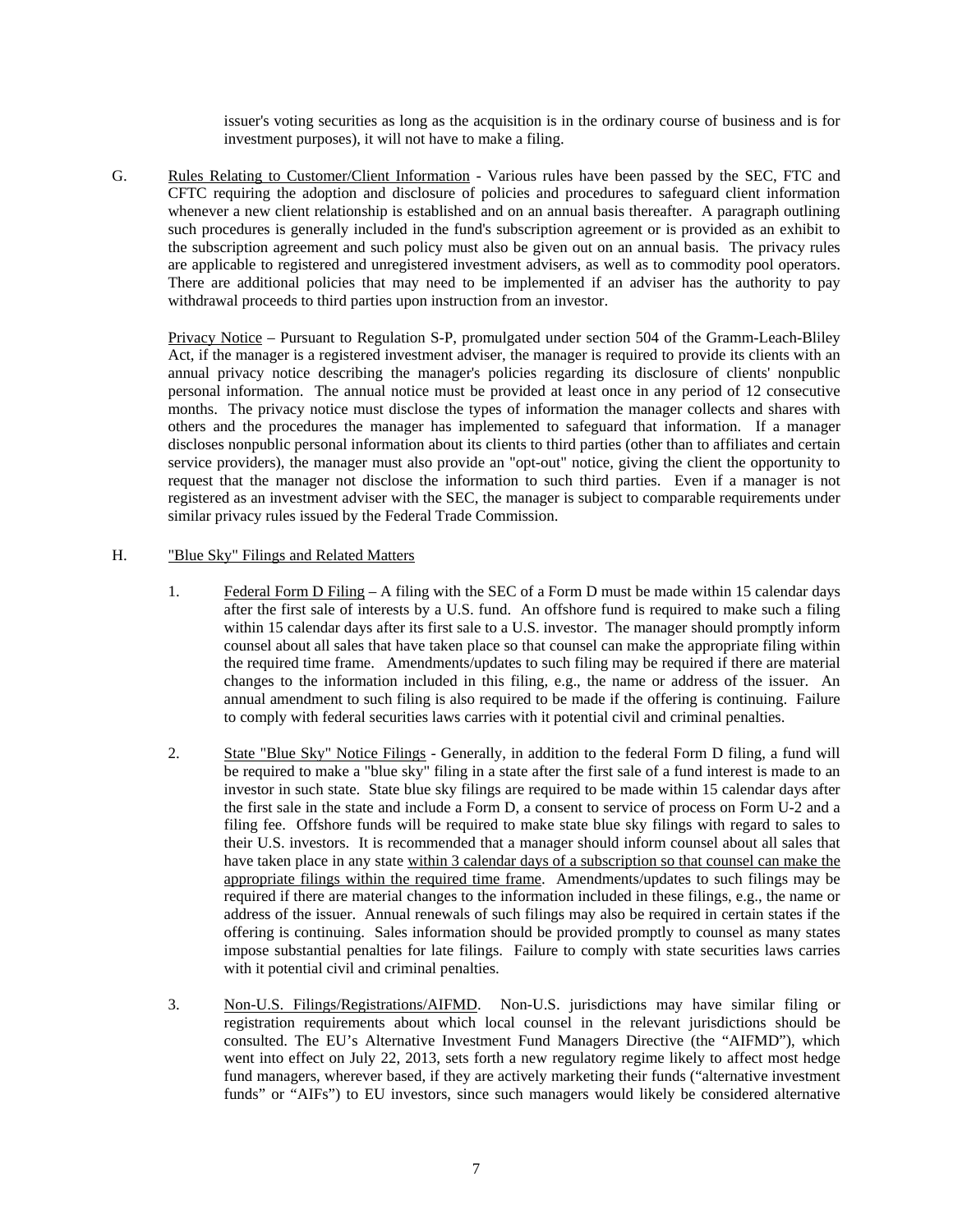issuer's voting securities as long as the acquisition is in the ordinary course of business and is for investment purposes), it will not have to make a filing.

G. Rules Relating to Customer/Client Information - Various rules have been passed by the SEC, FTC and CFTC requiring the adoption and disclosure of policies and procedures to safeguard client information whenever a new client relationship is established and on an annual basis thereafter. A paragraph outlining such procedures is generally included in the fund's subscription agreement or is provided as an exhibit to the subscription agreement and such policy must also be given out on an annual basis. The privacy rules are applicable to registered and unregistered investment advisers, as well as to commodity pool operators. There are additional policies that may need to be implemented if an adviser has the authority to pay withdrawal proceeds to third parties upon instruction from an investor.

Privacy Notice – Pursuant to Regulation S-P, promulgated under section 504 of the Gramm-Leach-Bliley Act, if the manager is a registered investment adviser, the manager is required to provide its clients with an annual privacy notice describing the manager's policies regarding its disclosure of clients' nonpublic personal information. The annual notice must be provided at least once in any period of 12 consecutive months. The privacy notice must disclose the types of information the manager collects and shares with others and the procedures the manager has implemented to safeguard that information. If a manager discloses nonpublic personal information about its clients to third parties (other than to affiliates and certain service providers), the manager must also provide an "opt-out" notice, giving the client the opportunity to request that the manager not disclose the information to such third parties. Even if a manager is not registered as an investment adviser with the SEC, the manager is subject to comparable requirements under similar privacy rules issued by the Federal Trade Commission.

### H. "Blue Sky" Filings and Related Matters

- 1. Federal Form D Filing A filing with the SEC of a Form D must be made within 15 calendar days after the first sale of interests by a U.S. fund. An offshore fund is required to make such a filing within 15 calendar days after its first sale to a U.S. investor. The manager should promptly inform counsel about all sales that have taken place so that counsel can make the appropriate filing within the required time frame. Amendments/updates to such filing may be required if there are material changes to the information included in this filing, e.g., the name or address of the issuer. An annual amendment to such filing is also required to be made if the offering is continuing. Failure to comply with federal securities laws carries with it potential civil and criminal penalties.
- 2. State "Blue Sky" Notice Filings Generally, in addition to the federal Form D filing, a fund will be required to make a "blue sky" filing in a state after the first sale of a fund interest is made to an investor in such state. State blue sky filings are required to be made within 15 calendar days after the first sale in the state and include a Form D, a consent to service of process on Form U-2 and a filing fee. Offshore funds will be required to make state blue sky filings with regard to sales to their U.S. investors. It is recommended that a manager should inform counsel about all sales that have taken place in any state within 3 calendar days of a subscription so that counsel can make the appropriate filings within the required time frame. Amendments/updates to such filings may be required if there are material changes to the information included in these filings, e.g., the name or address of the issuer. Annual renewals of such filings may also be required in certain states if the offering is continuing. Sales information should be provided promptly to counsel as many states impose substantial penalties for late filings. Failure to comply with state securities laws carries with it potential civil and criminal penalties.
- 3. Non-U.S. Filings/Registrations/AIFMD. Non-U.S. jurisdictions may have similar filing or registration requirements about which local counsel in the relevant jurisdictions should be consulted. The EU's Alternative Investment Fund Managers Directive (the "AIFMD"), which went into effect on July 22, 2013, sets forth a new regulatory regime likely to affect most hedge fund managers, wherever based, if they are actively marketing their funds ("alternative investment funds" or "AIFs") to EU investors, since such managers would likely be considered alternative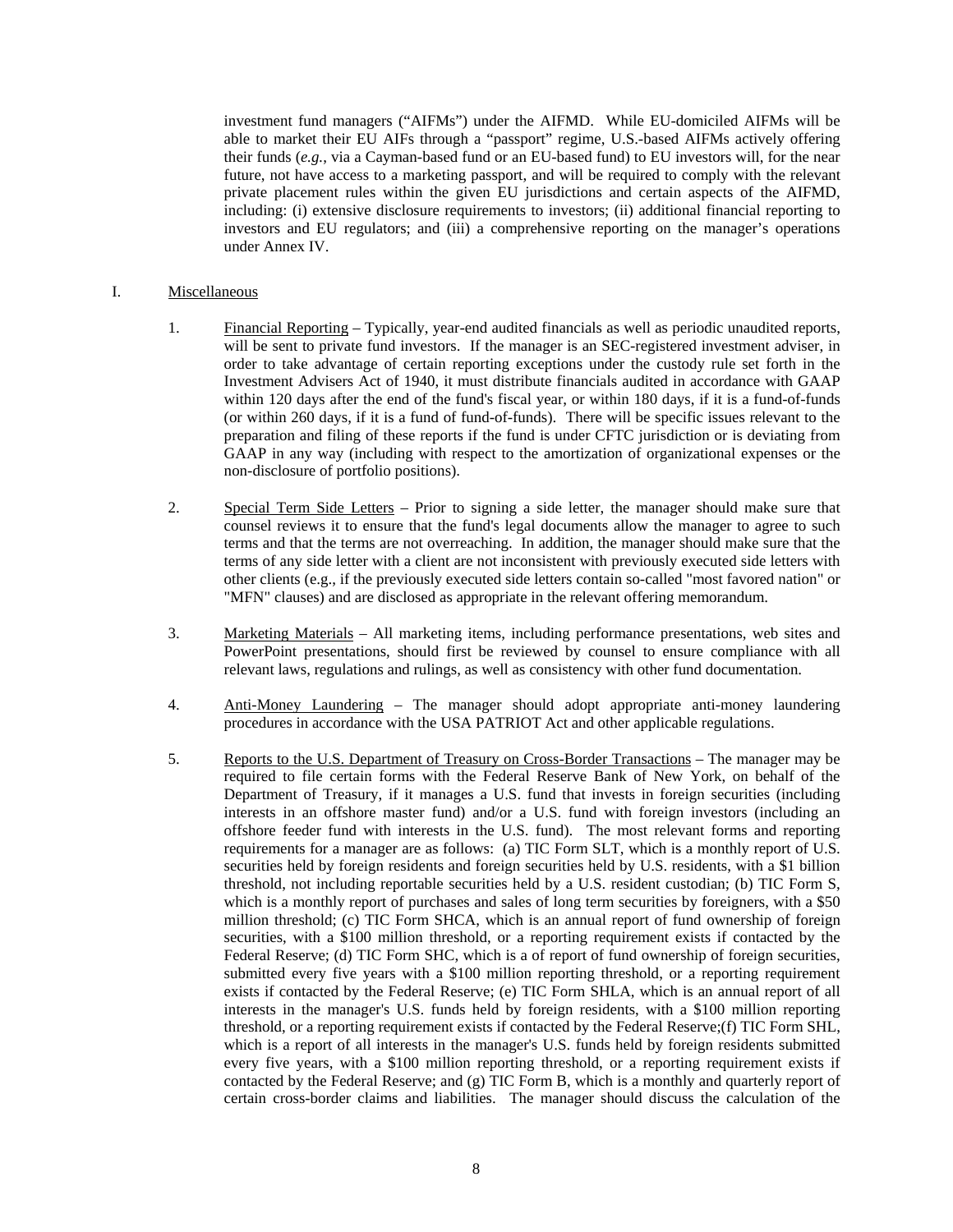investment fund managers ("AIFMs") under the AIFMD. While EU-domiciled AIFMs will be able to market their EU AIFs through a "passport" regime, U.S.-based AIFMs actively offering their funds (*e.g.*, via a Cayman-based fund or an EU-based fund) to EU investors will, for the near future, not have access to a marketing passport, and will be required to comply with the relevant private placement rules within the given EU jurisdictions and certain aspects of the AIFMD, including: (i) extensive disclosure requirements to investors; (ii) additional financial reporting to investors and EU regulators; and (iii) a comprehensive reporting on the manager's operations under Annex IV.

## I. Miscellaneous

- 1. Financial Reporting Typically, year-end audited financials as well as periodic unaudited reports, will be sent to private fund investors. If the manager is an SEC-registered investment adviser, in order to take advantage of certain reporting exceptions under the custody rule set forth in the Investment Advisers Act of 1940, it must distribute financials audited in accordance with GAAP within 120 days after the end of the fund's fiscal year, or within 180 days, if it is a fund-of-funds (or within 260 days, if it is a fund of fund-of-funds). There will be specific issues relevant to the preparation and filing of these reports if the fund is under CFTC jurisdiction or is deviating from GAAP in any way (including with respect to the amortization of organizational expenses or the non-disclosure of portfolio positions).
- 2. Special Term Side Letters Prior to signing a side letter, the manager should make sure that counsel reviews it to ensure that the fund's legal documents allow the manager to agree to such terms and that the terms are not overreaching. In addition, the manager should make sure that the terms of any side letter with a client are not inconsistent with previously executed side letters with other clients (e.g., if the previously executed side letters contain so-called "most favored nation" or "MFN" clauses) and are disclosed as appropriate in the relevant offering memorandum.
- 3. Marketing Materials All marketing items, including performance presentations, web sites and PowerPoint presentations, should first be reviewed by counsel to ensure compliance with all relevant laws, regulations and rulings, as well as consistency with other fund documentation.
- 4. Anti-Money Laundering The manager should adopt appropriate anti-money laundering procedures in accordance with the USA PATRIOT Act and other applicable regulations.
- 5. Reports to the U.S. Department of Treasury on Cross-Border Transactions The manager may be required to file certain forms with the Federal Reserve Bank of New York, on behalf of the Department of Treasury, if it manages a U.S. fund that invests in foreign securities (including interests in an offshore master fund) and/or a U.S. fund with foreign investors (including an offshore feeder fund with interests in the U.S. fund). The most relevant forms and reporting requirements for a manager are as follows: (a) TIC Form SLT, which is a monthly report of U.S. securities held by foreign residents and foreign securities held by U.S. residents, with a \$1 billion threshold, not including reportable securities held by a U.S. resident custodian; (b) TIC Form S, which is a monthly report of purchases and sales of long term securities by foreigners, with a \$50 million threshold; (c) TIC Form SHCA, which is an annual report of fund ownership of foreign securities, with a \$100 million threshold, or a reporting requirement exists if contacted by the Federal Reserve; (d) TIC Form SHC, which is a of report of fund ownership of foreign securities, submitted every five years with a \$100 million reporting threshold, or a reporting requirement exists if contacted by the Federal Reserve; (e) TIC Form SHLA, which is an annual report of all interests in the manager's U.S. funds held by foreign residents, with a \$100 million reporting threshold, or a reporting requirement exists if contacted by the Federal Reserve;(f) TIC Form SHL, which is a report of all interests in the manager's U.S. funds held by foreign residents submitted every five years, with a \$100 million reporting threshold, or a reporting requirement exists if contacted by the Federal Reserve; and (g) TIC Form B, which is a monthly and quarterly report of certain cross-border claims and liabilities. The manager should discuss the calculation of the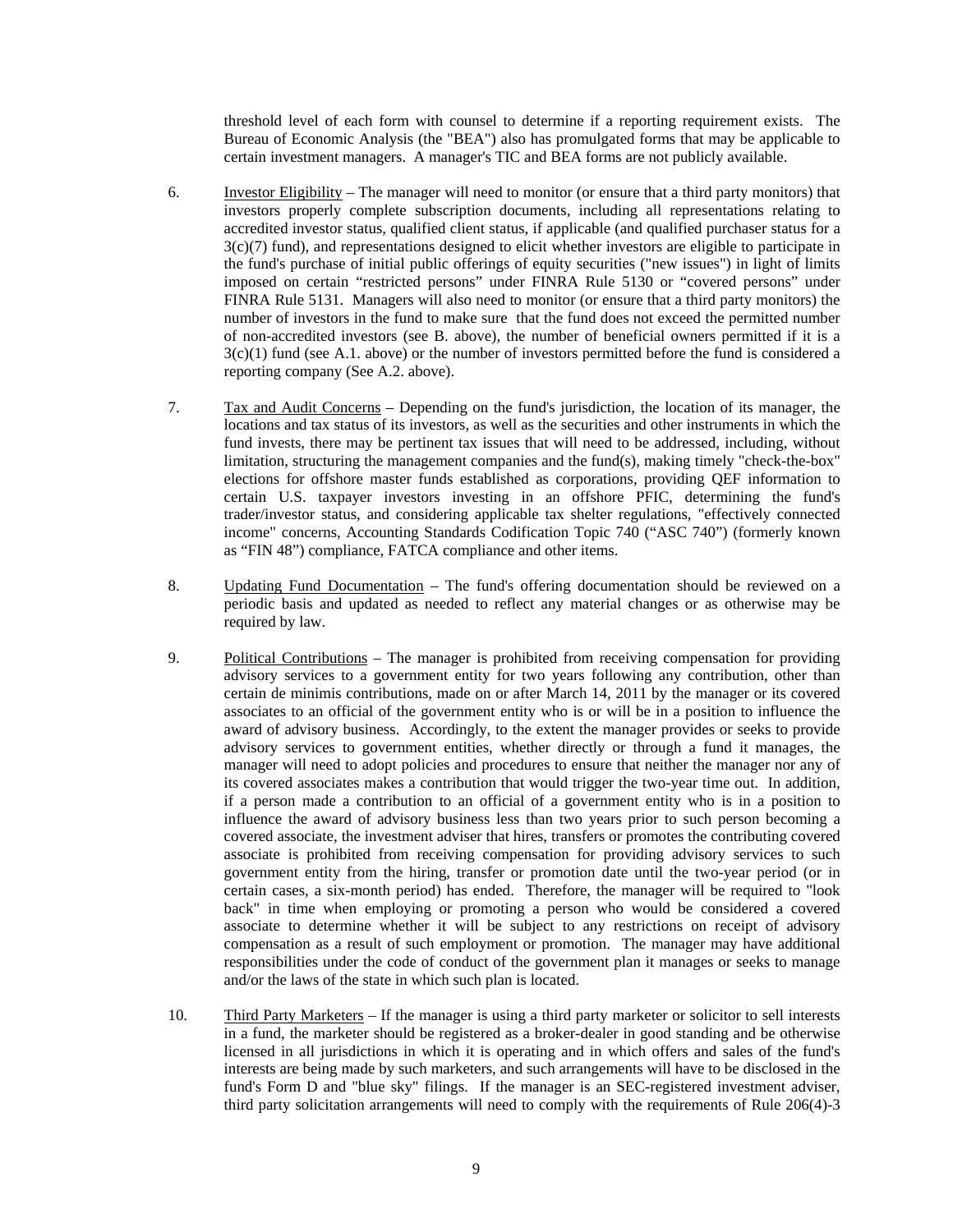threshold level of each form with counsel to determine if a reporting requirement exists. The Bureau of Economic Analysis (the "BEA") also has promulgated forms that may be applicable to certain investment managers. A manager's TIC and BEA forms are not publicly available.

- 6. Investor Eligibility The manager will need to monitor (or ensure that a third party monitors) that investors properly complete subscription documents, including all representations relating to accredited investor status, qualified client status, if applicable (and qualified purchaser status for a 3(c)(7) fund), and representations designed to elicit whether investors are eligible to participate in the fund's purchase of initial public offerings of equity securities ("new issues") in light of limits imposed on certain "restricted persons" under FINRA Rule 5130 or "covered persons" under FINRA Rule 5131. Managers will also need to monitor (or ensure that a third party monitors) the number of investors in the fund to make sure that the fund does not exceed the permitted number of non-accredited investors (see B. above), the number of beneficial owners permitted if it is a 3(c)(1) fund (see A.1. above) or the number of investors permitted before the fund is considered a reporting company (See A.2. above).
- 7. Tax and Audit Concerns Depending on the fund's jurisdiction, the location of its manager, the locations and tax status of its investors, as well as the securities and other instruments in which the fund invests, there may be pertinent tax issues that will need to be addressed, including, without limitation, structuring the management companies and the fund(s), making timely "check-the-box" elections for offshore master funds established as corporations, providing QEF information to certain U.S. taxpayer investors investing in an offshore PFIC, determining the fund's trader/investor status, and considering applicable tax shelter regulations, "effectively connected income" concerns, Accounting Standards Codification Topic 740 ("ASC 740") (formerly known as "FIN 48") compliance, FATCA compliance and other items.
- 8. Updating Fund Documentation The fund's offering documentation should be reviewed on a periodic basis and updated as needed to reflect any material changes or as otherwise may be required by law.
- 9. Political Contributions The manager is prohibited from receiving compensation for providing advisory services to a government entity for two years following any contribution, other than certain de minimis contributions, made on or after March 14, 2011 by the manager or its covered associates to an official of the government entity who is or will be in a position to influence the award of advisory business. Accordingly, to the extent the manager provides or seeks to provide advisory services to government entities, whether directly or through a fund it manages, the manager will need to adopt policies and procedures to ensure that neither the manager nor any of its covered associates makes a contribution that would trigger the two-year time out. In addition, if a person made a contribution to an official of a government entity who is in a position to influence the award of advisory business less than two years prior to such person becoming a covered associate, the investment adviser that hires, transfers or promotes the contributing covered associate is prohibited from receiving compensation for providing advisory services to such government entity from the hiring, transfer or promotion date until the two-year period (or in certain cases, a six-month period) has ended. Therefore, the manager will be required to "look back" in time when employing or promoting a person who would be considered a covered associate to determine whether it will be subject to any restrictions on receipt of advisory compensation as a result of such employment or promotion. The manager may have additional responsibilities under the code of conduct of the government plan it manages or seeks to manage and/or the laws of the state in which such plan is located.
- 10. Third Party Marketers If the manager is using a third party marketer or solicitor to sell interests in a fund, the marketer should be registered as a broker-dealer in good standing and be otherwise licensed in all jurisdictions in which it is operating and in which offers and sales of the fund's interests are being made by such marketers, and such arrangements will have to be disclosed in the fund's Form D and "blue sky" filings. If the manager is an SEC-registered investment adviser, third party solicitation arrangements will need to comply with the requirements of Rule 206(4)-3